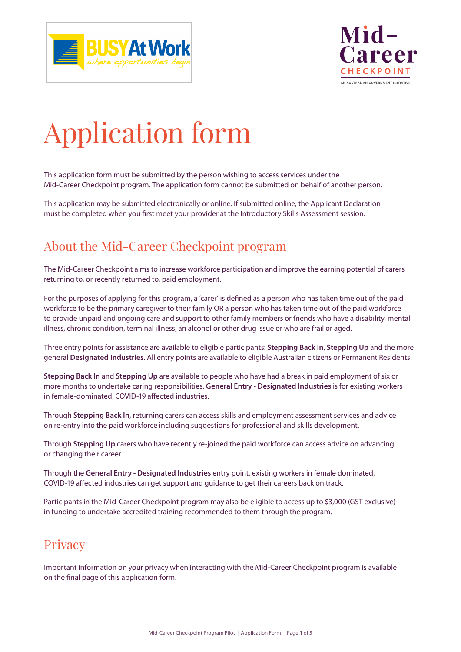



# Application form

This application form must be submitted by the person wishing to access services under the Mid-Career Checkpoint program. The application form cannot be submitted on behalf of another person.

This application may be submitted electronically or online. If submitted online, the Applicant Declaration must be completed when you first meet your provider at the Introductory Skills Assessment session.

### About the Mid-Career Checkpoint program

The Mid-Career Checkpoint aims to increase workforce participation and improve the earning potential of carers returning to, or recently returned to, paid employment.

For the purposes of applying for this program, a 'carer' is defined as a person who has taken time out of the paid workforce to be the primary caregiver to their family OR a person who has taken time out of the paid workforce to provide unpaid and ongoing care and support to other family members or friends who have a disability, mental illness, chronic condition, terminal illness, an alcohol or other drug issue or who are frail or aged.

Three entry points for assistance are available to eligible participants: **Stepping Back In**, **Stepping Up** and the more general **Designated Industries**. All entry points are available to eligible Australian citizens or Permanent Residents.

**Stepping Back In** and **Stepping Up** are available to people who have had a break in paid employment of six or more months to undertake caring responsibilities. **General Entry - Designated Industries** is for existing workers in female-dominated, COVID-19 affected industries.

Through **Stepping Back In**, returning carers can access skills and employment assessment services and advice on re-entry into the paid workforce including suggestions for professional and skills development.

Through **Stepping Up** carers who have recently re-joined the paid workforce can access advice on advancing or changing their career.

Through the **General Entry - Designated Industries** entry point, existing workers in female dominated, COVID-19 affected industries can get support and guidance to get their careers back on track.

Participants in the Mid-Career Checkpoint program may also be eligible to access up to \$3,000 (GST exclusive) in funding to undertake accredited training recommended to them through the program.

### **Privacy**

Important information on your privacy when interacting with the Mid-Career Checkpoint program is available on the final page of this application form.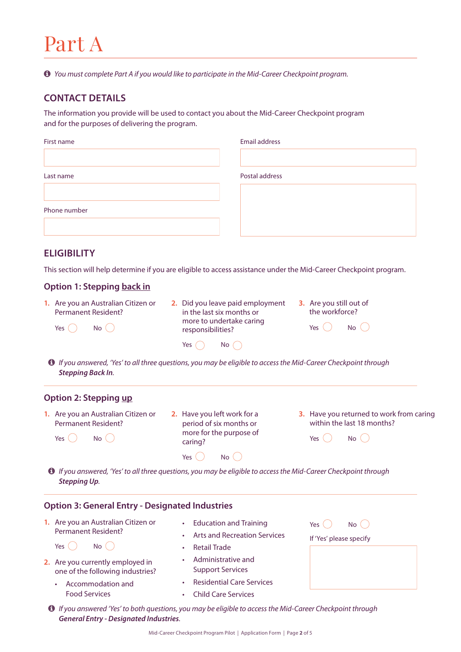### Part A

*You must complete Part A if you would like to participate in the Mid-Career Checkpoint program.*

#### **CONTACT DETAILS**

The information you provide will be used to contact you about the Mid-Career Checkpoint program and for the purposes of delivering the program.

| First name   | Email address  |
|--------------|----------------|
|              |                |
| Last name    | Postal address |
|              |                |
| Phone number |                |
|              |                |

#### **ELIGIBILITY**

This section will help determine if you are eligible to access assistance under the Mid-Career Checkpoint program.

#### **Option 1: Stepping back in**

**1.** Are you an Australian Citizen or Permanent Resident?

Yes  $\bigcap$  No  $\bigcap$ 

- **2.** Did you leave paid employment in the last six months or more to undertake caring responsibilities?
- **3.** Are you still out of the workforce?

| Yes | No |  |
|-----|----|--|

 *If you answered, 'Yes' to all three questions, you may be eligible to access the Mid-Career Checkpoint through Stepping Back In.*

Yes  $\bigcap$  No  $\bigcap$ 

#### **Option 2: Stepping up**

Yes  $\bigcirc$  No  $\bigcirc$ 

- **1.** Are you an Australian Citizen or Permanent Resident?
- **2.** Have you left work for a period of six months or more for the purpose of caring?

 $Yes \cap Na$ 

**3.** Have you returned to work from caring within the last 18 months?

| <b>Yes</b> | No |  |
|------------|----|--|

Yes  $\bigcirc$  No  $\bigcirc$ If 'Yes' please specify

 *If you answered, 'Yes' to all three questions, you may be eligible to access the Mid-Career Checkpoint through Stepping Up.*

#### **Option 3: General Entry - Designated Industries**

**1.** Are you an Australian Citizen or Permanent Resident?

Yes  $\bigcap$  No  $\bigcap$ 

- **2.** Are you currently employed in one of the following industries?
	- Accommodation and Food Services
- Education and Training
- Arts and Recreation Services
- Retail Trade
- Administrative and Support Services
- Residential Care Services
- Child Care Services
- *If you answered 'Yes' to both questions, you may be eligible to access the Mid-Career Checkpoint through General Entry - Designated Industries.*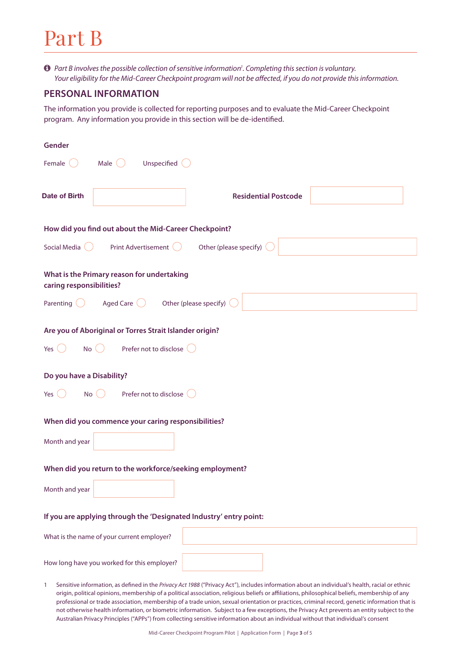### Part B

 $\bullet$  *Part B involves the possible collection of sensitive information<sup>†</sup>. Completing this section is voluntary. Your eligibility for the Mid-Career Checkpoint program will not be affected, if you do not provide this information.* 

#### **PERSONAL INFORMATION**

The information you provide is collected for reporting purposes and to evaluate the Mid-Career Checkpoint program. Any information you provide in this section will be de-identified.

| Gender                                                                                                        |
|---------------------------------------------------------------------------------------------------------------|
| Unspecified (<br>Male $\bigcirc$<br>Female                                                                    |
| <b>Date of Birth</b><br><b>Residential Postcode</b>                                                           |
| How did you find out about the Mid-Career Checkpoint?                                                         |
| Other (please specify)<br>Social Media<br>Print Advertisement (                                               |
| What is the Primary reason for undertaking<br>caring responsibilities?                                        |
| Aged Care $\bigcirc$ Other (please specify)<br>Parenting                                                      |
| Are you of Aboriginal or Torres Strait Islander origin?<br>Prefer not to disclose (<br>No<br>Yes <sup>1</sup> |
| Do you have a Disability?<br>Prefer not to disclose (<br>No()<br>Yes $($ $)$                                  |
| When did you commence your caring responsibilities?                                                           |
| Month and year                                                                                                |
| When did you return to the workforce/seeking employment?                                                      |
| Month and year                                                                                                |
| If you are applying through the 'Designated Industry' entry point:                                            |
| What is the name of your current employer?                                                                    |
| How long have you worked for this employer?                                                                   |

1 Sensitive information, as defined in the *Privacy Act 1988* ("Privacy Act"), includes information about an individual's health, racial or ethnic origin, political opinions, membership of a political association, religious beliefs or affiliations, philosophical beliefs, membership of any professional or trade association, membership of a trade union, sexual orientation or practices, criminal record, genetic information that is not otherwise health information, or biometric information. Subject to a few exceptions, the Privacy Act prevents an entity subject to the Australian Privacy Principles ("APPs") from collecting sensitive information about an individual without that individual's consent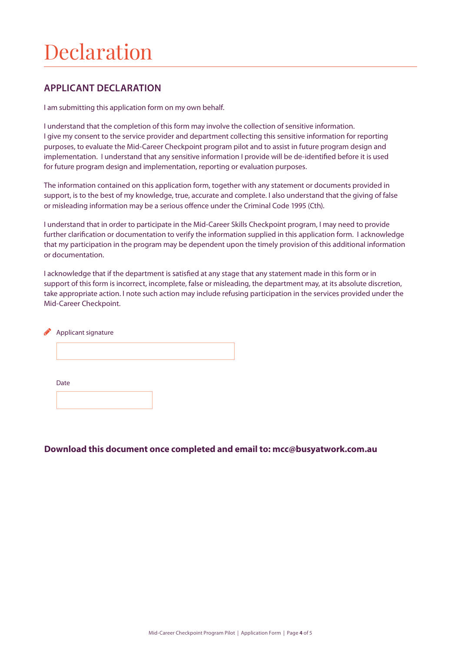## Declaration

#### **APPLICANT DECLARATION**

I am submitting this application form on my own behalf.

I understand that the completion of this form may involve the collection of sensitive information. I give my consent to the service provider and department collecting this sensitive information for reporting purposes, to evaluate the Mid-Career Checkpoint program pilot and to assist in future program design and implementation. I understand that any sensitive information I provide will be de-identified before it is used for future program design and implementation, reporting or evaluation purposes.

The information contained on this application form, together with any statement or documents provided in support, is to the best of my knowledge, true, accurate and complete. I also understand that the giving of false or misleading information may be a serious offence under the Criminal Code 1995 (Cth).

I understand that in order to participate in the Mid-Career Skills Checkpoint program, I may need to provide further clarification or documentation to verify the information supplied in this application form. I acknowledge that my participation in the program may be dependent upon the timely provision of this additional information or documentation.

I acknowledge that if the department is satisfied at any stage that any statement made in this form or in support of this form is incorrect, incomplete, false or misleading, the department may, at its absolute discretion, take appropriate action. I note such action may include refusing participation in the services provided under the Mid-Career Checkpoint.

| ∕ | Applicant signature |
|---|---------------------|
|   |                     |
|   |                     |
|   | Date                |
|   |                     |

#### **Download this document once completed and email to: [mcc@busyatwork.com.au](mailto:mcc@busyatwork.com.au)**